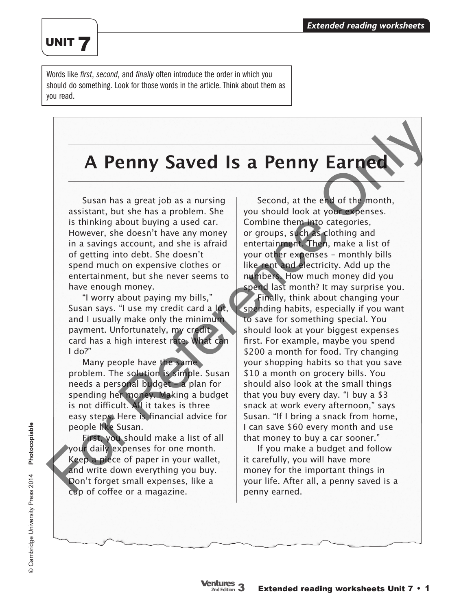### UNIT 7

Words like *first*, *second*, and *finally* often introduce the order in which you should do something. Look for those words in the article. Think about them as you read.

# **A Penny Saved Is a Penny Earned**

Susan has a great job as a nursing assistant, but she has a problem. She is thinking about buying a used car. However, she doesn't have any money in a savings account, and she is afraid of getting into debt. She doesn't spend much on expensive clothes or entertainment, but she never seems to have enough money.

"I worry about paying my bills," Susan says. "I use my credit card a lot, and I usually make only the minimum payment. Unfortunately, my credit card has a high interest rate. What can  $I$  do?"

Many people have the same problem. The solution is simple. Susan needs a personal budget – a plan for spending her money. Making a budget is not difficult. All it takes is three easy steps. Here is financial advice for people like Susan.

First, you should make a list of all your daily expenses for one month. Keep a piece of paper in your wallet, and write down everything you buy. Don't forget small expenses, like a cup of coffee or a magazine.

Second, at the end of the month, you should look at your expenses. Combine them into categories, or groups, such as clothing and entertainment. Then, make a list of your other expenses – monthly bills like rent and electricity. Add up the numbers. How much money did you spend last month? It may surprise you. Finally, think about changing your spending habits, especially if you want to save for something special. You should look at your biggest expenses first. For example, maybe you spend \$200 a month for food. Try changing your shopping habits so that you save \$10 a month on grocery bills. You should also look at the small things that you buy every day. "I buy a \$3 snack at work every afternoon," says Susan. "If I bring a snack from home, I can save \$60 every month and use that money to buy a car sooner." **A Penny Saved Is a Penny Earney**<br>
Susan has a great job as a nursing<br>
susan has a great job as a nursing<br>
is thinking about buying a used car.<br>
is thinking about buying a used car.<br>
However, she doesn't have any money or

If you make a budget and follow it carefully, you will have more money for the important things in your life. After all, a penny saved is a penny earned.